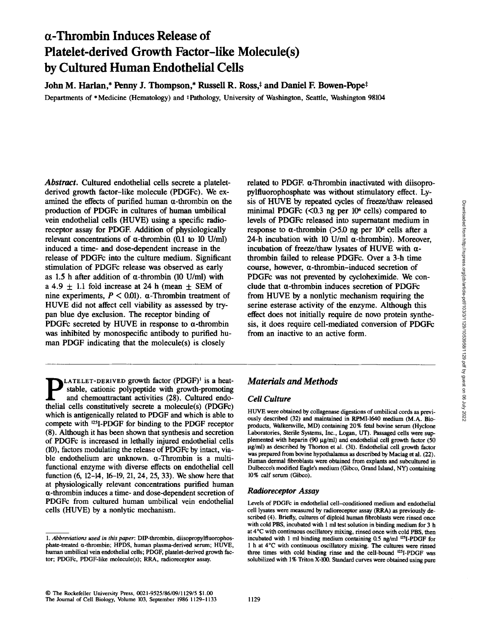# **a-Thrombin Induces Release of Platelet-derived Growth Factor-like Molecule(s) by Cultured Human Endothelial Cells**

John M. Harlan,\* Penny J. Thompson,\* Russell R. Ross,<sup>‡</sup> and Daniel F. Bowen-Pope<sup>‡</sup>

Departments of \* Medicine (Hematology) and \* Pathology, University of Washington, Seattle, Washington 98104

*Abstract.* Cultured endothelial cells secrete a plateletderived growth factor-like molecule (PDGFc). We examined the effects of purified human  $\alpha$ -thrombin on the production of PDGFc in cultures of human umbilical vein endothelial cells (HUVE) using a specific radioreceptor assay for PDGE Addition of physiologically relevant concentrations of  $\alpha$ -thrombin (0.1 to 10 U/ml) induced a time- and dose-dependent increase in the release of PDGFc into the culture medium. Significant stimulation of PDGFc release was observed as early as 1.5 h after addition of  $\alpha$ -thrombin (10 U/ml) with a 4.9  $\pm$  1.1 fold increase at 24 h (mean  $\pm$  SEM of nine experiments,  $P < 0.01$ .  $\alpha$ -Thrombin treatment of HUVE did not affect cell viability as assessed by trypan blue dye exclusion. The receptor binding of PDGFc secreted by HUVE in response to  $\alpha$ -thrombin was inhibited by monospecific antibody to purified human PDGF indicating that the molecule(s) is closely

related to PDGF.  $\alpha$ -Thrombin inactivated with diisopropylfluorophosphate was without stimulatory effect. Lysis of HUVE by repeated cycles of freeze/thaw released minimal PDGFc  $(<0.3$  ng per 10<sup>6</sup> cells) compared to levels of PDGFc released into supernatant medium in response to  $\alpha$ -thrombin (>5.0 ng per 10<sup>6</sup> cells after a 24-h incubation with 10 U/ml  $\alpha$ -thrombin). Moreover, incubation of freeze/thaw lysates of HUVE with  $\alpha$ thrombin failed to release PDGFc. Over a 3-h time course, however,  $\alpha$ -thrombin-induced secretion of PDGFc was not prevented by cycloheximide. We conclude that  $\alpha$ -thrombin induces secretion of PDGFc from HUVE by a nonlytic mechanism requiring the serine esterase activity of the enzyme. Although this effect does not initially require de novo protein synthesis, it does require cell-mediated conversion of PDGFc from an inactive to an active form.

**p** LATELET-DERIVED growth factor (PDGF)<sup>1</sup> is a heat-<br>stable, cationic polypeptide with growth-promoting<br>and chemoattractant activities (28). Cultured andoand chemoattractant activities (28). Cultured endothelial cells constitutively secrete a molecule(s) (PDGFc) which is antigenically related to PDGF and which is able to compete with <sup>125</sup>I-PDGF for binding to the PDGF receptor (8). Although it has been shown that synthesis and secretion of PDGFc is increased in lethally injured endothelial cells (10), factors modulating the release of PDGFc by intact, viable endothelium are unknown.  $\alpha$ -Thrombin is a multifunctional enzyme with diverse effects on endothelial cell function (6, 12-14, 16-19, 21, 24, 25, 33). We show here that at physiologically relevant concentrations purified human  $\alpha$ -thrombin induces a time- and dose-dependent secretion of PDGFc from cultured human umbilical vein endothelial cells (HUVE) by a nonlytic mechanism.

# *Materials and Methods*

## *Cell Culture*

HUVE were obtained by collagenase digestions of umbilical cords as previously described (32) and maintained in RPMI-1640 medium (M.A. Bioproducts, Walkersville, MD) containing 20% fetal bovine serum (Hyclone Laboratories, Sterile Systems, Inc., Logan, UT). Passaged cells were supplemented with heparin (90  $\mu$ g/ml) and endothelial cell growth factor (50  $\mu$ g/ml) as described by Thorton et al. (31). Endothelial cell growth factor was prepared from bovine hypothalamus as described by Maciag et al. (22). Human dermal fibroblasts were obtained from explants and subcultured in Dulbecco's modified Eagle's medium (Gibco, Grand Island, NY) containing 10% calf serum (Gibco).

## *Radioreceptor Assay*

Levels of PDGFc in endothelial cell-conditioned medium and endothelial cell lysates were measured by radioreceptor assay (RRA) as previously described (4). Briefly, cultures of diploid human fibroblasts were rinsed once with cold PBS, incubated with 1 ml test solution in binding medium for 3 h at 4°C with continuous oscillatory mixing, rinsed once with cold PBS, then incubated with 1 ml binding medium containing  $0.5$  ng/ml  $^{125}$ I-PDGF for 1 h at 4°C with continuous oscillatory mixing. The cultures were rinsed three times with cold binding rinse and the cell-bound <sup>125</sup>I-PDGF was solubilized with 1% Triton X-100. Standard curves were obtained using pure

*<sup>1.</sup> Abbreviations used in this paper:* DIP-thrombin, diisopropylfluorophosphate-treated  $\alpha$ -thrombin; HPDS, human plasma-derived serum; HUVE, human umbilical vein endothelial cells; PDGF, platelet-derived growth factor; PDGFc, PDGF-Iike molecule(s); RRA, radioreceptor assay.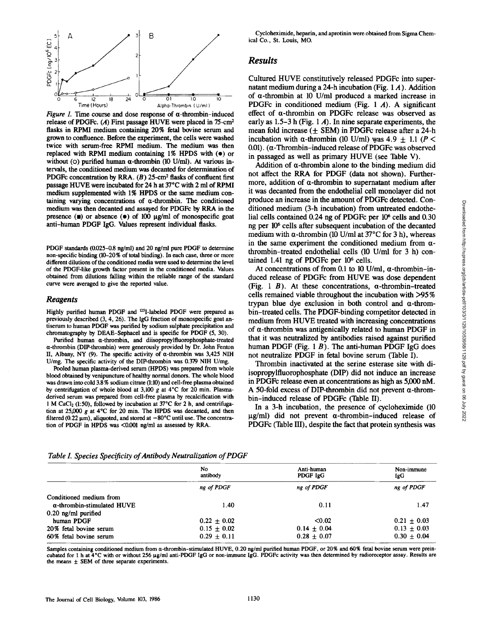

*Figure 1.* Time course and dose response of  $\alpha$ -thrombin-induced release of PDGFc.  $(A)$  First passage HUVE were placed in 75-cm<sup>2</sup> flasks in RPMI medium containing 20% fetal bovine serum and grown to confluence. Before the experiment, the cells were washed twice with serum-free RPMI medium. The medium was then replaced with RPMI medium containing 1% HPDS with (e) or without (O) purified human  $\alpha$ -thrombin (10 U/ml). At various intervals, the conditioned medium was decanted for determination of PDGFc concentration by RRA.  $(B)$  25-cm<sup>2</sup> flasks of confluent first passage HUVE were incubated for 24 h at 37°C with 2 ml of RPMI medium supplemented with 1% HPDS or the same medium containing varying concentrations of  $\alpha$ -thrombin. The conditioned medium was then decanted and assayed for PDGFc by RRA in the presence  $(\bullet)$  or absence  $(\bullet)$  of 100  $\mu$ g/ml of monospecific goat anti-human PDGF IgG. Values represent individual flasks.

PDGF standards (0.025-0.8 ng/ml) and 20 ng/ml pure PDGF to determine non-specific binding (10-20% of total binding). In each case, three or more **different** dilutions of the conditioned media were used to determine the level of the PDGF-like growth factor present in the conditioned media. Values obtained from dilutions falling within the reliable range of the standard curve were averaged to give the reported value.

#### *Reagents*

Highly purified human PDGF and <sup>125</sup>I-labeled PDGF were prepared as previously described (3, 4, 26). The IgG fraction of monospecific goat antiserum to human PDGF was purified by sodium sulphate precipitation and chromatography by DEAE-Sephacel and is specific for PDGF (5, 30).

Purified human  $\alpha$ -thrombin, and diisopropylfluorophosphate-treated a-thrombin (DIP-thrombin) were generously provided by Dr. John Fenton II, Albany, NY (9). The specific activity of  $\alpha$ -thrombin was 3,425 NIH U/mg. The specific activity of the DIP-thrombin was 0.379 NIH U/mg.

Pooled human plasma-derived serum (HPDS) was prepared from whole blood obtained by venipuncture of healthy normal donors. The whole blood was drawn into cold 3.8 % sodium citrate (1:10) and cell-free plasma obtained by centrifugation of whole blood at 3,100 g at  $4^{\circ}$ C for 20 min. Plasmaderived serum was prepared from cell-free plasma by recalcification with 1 M CaCl<sub>2</sub> (1:50), followed by incubation at  $37^{\circ}$ C for 2 h, and centrifugation at 25,000  $g$  at 4°C for 20 min. The HPDS was decanted, and then filtered (0.22  $\mu$ m), aliquoted, and stored at  $-80^{\circ}$ C until use. The concentration of PDGF in HPDS was <0.001 ng/ml as assessed by RRA.

Cycloheximide, heparin, and aprotinin were obtained from Sigma Chemical Co., St. Louis, MO.

## *Results*

Cultured HUVE constitutively released PDGFc into supernatant medium during a 24-h incubation (Fig. 1 A). Addition of a-thrombin at 10 U/ml produced a marked increase in PDGFc in conditioned medium (Fig. 1 A). A significant effect of a-thrombin on PDGFc release was observed as early as  $1.5-3$  h (Fig. 1 A). In nine separate experiments, the mean fold increase  $(±$  SEM) in PDGFc release after a 24-h incubation with  $\alpha$ -thrombin (10 U/ml) was 4.9  $\pm$  1.1 (P < 0.01). (a-Thrombin-induced release of PDGFc was observed in passaged as well as primary HUVE (see Table V).

Addition of  $\alpha$ -thrombin alone to the binding medium did not affect the RRA for PDGF (data not shown). Furthermore, addition of  $\alpha$ -thrombin to supernatant medium after it was decanted from the endothelial cell monolayer did not produce an increase in the amount of PDGFc detected. Conditioned medium (3-h incubation) from untreated endothelial cells contained  $0.24$  ng of PDGFc per  $10<sup>6</sup>$  cells and  $0.30$ ng per 106 cells after subsequent incubation of the decanted medium with  $\alpha$ -thrombin (10 U/ml at 37 $\degree$ C for 3 h), whereas in the same experiment the conditioned medium from  $\alpha$ thrombin-treated endothelial cells (10 U/ml for 3 h) contained 1.41 ng of PDGFc per 10<sup>6</sup> cells.

At concentrations of from 0.1 to 10 U/ml, a-thrombin-induced release of PDGFc from HUVE was dose dependent (Fig. 1  $B$ ). At these concentrations,  $\alpha$ -thrombin-treated cells remained viable throughout the incubation with >95 % trypan blue dye exclusion in both control and  $\alpha$ -thrombin-treated cells. The PDGF-binding competitor detected in medium from HUVE treated with increasing concentrations of  $\alpha$ -thrombin was antigenically related to human PDGF in that it was neutralized by antibodies raised against purified human PDGF (Fig. 1 $B$ ). The anti-human PDGF IgG does not neutralize PDGF in fetal bovine serum (Table I).

Thrombin inactivated at the serine esterase site with diisopropylfluorophosphate (DIP) did not induce an increase in PDGFc release even at concentrations as high as 5,000 nM. A 50-fold excess of DIP-thrombin did not prevent a-thrombin-induced release of PDGFc (Table II).

In a 3-h incubation, the presence of cycloheximide (10  $\mu$ g/ml) did not prevent  $\alpha$ -thrombin-induced release of PDGFc (Table III), despite the fact that protein synthesis was

| .               |                        |                   |
|-----------------|------------------------|-------------------|
| No.<br>antibody | Anti-human<br>PDGF IgG | Non-immune<br>IgG |
| ng of PDGF      | ng of PDGF             | ng of PDGF        |
|                 |                        |                   |
| 1.40            | 0.11                   | 1.47              |
|                 |                        |                   |
| $0.22 \pm 0.02$ | < 0.02                 | $0.21 \pm 0.03$   |
| $0.15 \pm 0.02$ | $0.14 + 0.04$          | $0.13 \pm 0.03$   |
| $0.29 \pm 0.11$ | $0.28 \pm 0.07$        | $0.30 \pm 0.04$   |
|                 |                        |                   |

*Table L Species Specificity of Antibody Neutralization of PDGF* 

Samples containing conditioned medium from a-thrombin-stimulated HUVE, 0.20 ng/ml purified human PDGF, or 20% and 60% fetal bovine serum were preincubated for 1 h at  $4^{\circ}$ C with or without 256 µg/ml anti-PDGF IgG or non-immune IgG. PDGFc activity was then determined by radioreceptor assay. Results are the means  $\pm$  SEM of three separate experiments.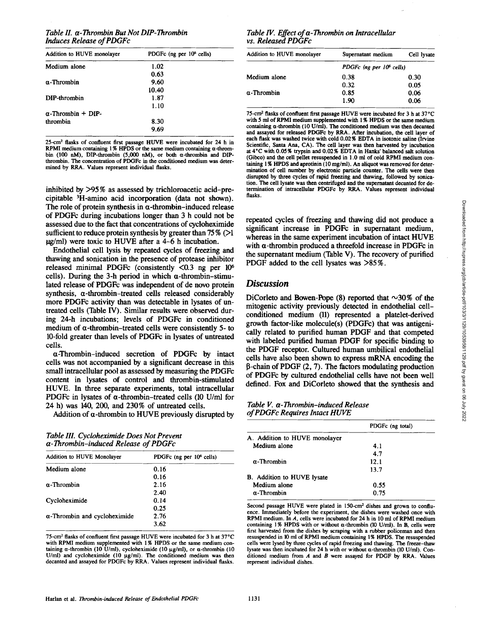## *Table II. a-Thrombin But Not DIP-Thrombin Induces Release of PDGFc*

| Addition to HUVE monolayer | PDGFc (ng per $106$ cells) |
|----------------------------|----------------------------|
| Medium alone               | 1.02                       |
|                            | 0.63                       |
| α-Thrombin                 | 9.60                       |
|                            | 10.40                      |
| DIP-thrombin               | 1.87                       |
|                            | 1.10                       |
| $\alpha$ -Thrombin + DIP-  |                            |
| thrombin                   | 8.30                       |
|                            | 9.69                       |

25-cm<sup>2</sup> flasks of confluent first passage HUVE were incubated for 24 h in RPMI medium containing 1% HPDS or the same medium containing 1% bin (100 aM), DIP-thrombin (5,000 aM), or both a-thrombin and DIPthrombin, The concentration of PDGFc in the conditioned medium was determined by RRA. Values represent individual flasks,

inhibited by >95 % as assessed by trichloroacetic acid-precipitable 3H-amino acid incorporation (data not shown). The role of protein synthesis in  $\alpha$ -thrombin-induced release of PDGFc during incubations longer than 3 h could not be assessed due to the fact that concentrations of cycloheximide sufficient to reduce protein synthesis by greater than  $75\%$  ( $>1$ )  $\mu$ g/ml) were toxic to HUVE after a 4-6 h incubation.

Endothelial cell lysis by repeated cycles of freezing and thawing and sonication in the presence of protease inhibitor released minimal PDGFc (consistently  $\langle 0.3 \rangle$  ng per 10<sup>6</sup> cells). During the 3-h period in which  $\alpha$ -thrombin-stimulated release of PDGFc was independent of de novo protein synthesis, a-thrombin-treated cells released considerably more PDGFc activity than was detectable in lysates of untreated cells (Table IV). Similar results were observed during 24-h incubations; levels of PDGFc in conditioned medium of  $\alpha$ -thrombin-treated cells were consistently 5- to 10-fold greater than levels of PDGFc in lysates of untreated cells.

¢t-Thrombin-induced secretion of PDGFc by intact cells was not accompanied by a significant decrease in this small intracellular pool as assessed by measuring the PDGFc content in lysates of control and thrombin-stimulated HUVE. In three separate experiments, total intracellular PDGFc in lysates of  $\alpha$ -thrombin-treated cells (10 U/ml for 24 h) was 140, 200, and 230% of untreated cells.

Addition of  $\alpha$ -thrombin to HUVE previously disrupted by

*Table III. Cycloheximide Does Not Prevent a- Thrombin-induced Release of PDGFc* 

| Addition to HUVE Monolayer           | PDGFc (ng per $106$ cells) |
|--------------------------------------|----------------------------|
| Medium alone                         | 0.16                       |
|                                      | 0.16                       |
| α-Thrombin                           | 2.16                       |
|                                      | 2.40                       |
| Cycloheximide                        | 0.14                       |
|                                      | 0.25                       |
| $\alpha$ -Thrombin and cycloheximide | 2.76                       |
|                                      | 3.62                       |

75-cm<sup>2</sup> flasks of confluent first passage HUVE were incubated for 3 h at 37°C with RPMI medium supplemented with 1% HPDS or the same medium containing  $\alpha$ -thrombin (10 U/ml), cycloheximide (10  $\mu$ g/ml), or  $\alpha$ -thrombin (10 U/ml) and cycloheximide (10 µg/ml). The conditioned medium was then decanted and assayed for PDGFc by RRA. Values represent individual flasks.

## *Table IV. Effect of a-Thrombin on Intracellular vs. Released PDGFc*

| Addition to HUVE monolayer | Supernatant medium                   | Cell lysate |  |
|----------------------------|--------------------------------------|-------------|--|
|                            | PDGFc (ng per 10 <sup>6</sup> cells) |             |  |
| Medium alone               | 0.38                                 | 0.30        |  |
|                            | 0.32                                 | 0.05        |  |
| $\alpha$ -Thrombin         | 0.85                                 | 0.06        |  |
|                            | 1.90                                 | 0.06        |  |

75-cm<sup>2</sup> flasks of confluent first passage HUVE were incubated for 3 h at 37°C with 5 ml of RPMI medium supplemented with 1% HPDS or the same medium containing  $\alpha$ -thrombin (10 U/ml). The conditioned medium was then decanted and assayed for released PDGFc by RRA. After incubation, the cell layer of each flask was washed twice with cold 0.02% EDTA in isotonic saline (Irvine Scientific, Santa Ana, CA). The cell layer was then harvested by incubation at 4"C with 0.05% trypsin and 0.02% EDTA in Hanks' balanced salt solution (Gibco) and the cell pellet resuspended in 1.0 ml of cold RPMI medium containing 1% HPDS and aprotinin (10 mg/ml). An aliquot was removed for determination of cell number by electronic particle counter. The cells were then disrupted by three cycles of rapid freezing and thawing, followed by sonication. The cell lysate was then centrifuged and the supernatant decanted for determination of intracellular PDGFc by RRA. Values represent individual flasks.

repeated cycles of freezing and thawing did not produce a significant increase in PDGFc in supernatant medium, whereas in the same experiment incubation of intact HUVE with  $\alpha$ -thrombin produced a threefold increase in PDGFc in the supernatant medium (Table V). The recovery of purified PDGF added to the cell lysates was >85 %.

## *Discussion*

DiCorleto and Bowen-Pope (8) reported that  $\sim$ 30% of the mitogenic activity previously detected in endothelial cellconditioned medium (11) represented a platelet-derived growth factor-like molecule(s) (PDGFc) that was antigenically related to purified human PDGF and that competed with labeled purified human PDGF for specific binding to the PDGF receptor. Cultured human umbilical endothelial cells have also been shown to express mRNA encoding the  $\beta$ -chain of PDGF (2, 7). The factors modulating production of PDGFc by cultured endothelial cells have not been well defined. Fox and DiCorleto showed that the synthesis and

*Table V. a-Thrombin-induced Release of PDGFc Requires Intact HUVE* 

|                               | PDGFc (ng total) |
|-------------------------------|------------------|
| A. Addition to HUVE monolayer |                  |
| Medium alone                  | 4.1              |
|                               | 4.7              |
| $\alpha$ -Thrombin            | 12.1             |
|                               | 13.7             |
| B. Addition to HUVE lysate    |                  |
| Medium alone                  | 0.55             |
| $\alpha$ -Thrombin            | 0.75             |

Second passage HUVE were plated in 150-cm<sup>2</sup> dishes and grown to confluence. Immediately before the experiment, the dishes were washed once with RPMI medium. In A, cells were incubated for 24 h in 10 ml of RPMI medium containing 1% HPDS with or without  $\alpha$ -thrombin (10 U/ml). In B, cells were first harvested from the dishes by scraping with a rubber policeman and then resuspended in 10 ml of RPMI medium containing 1% HPDS. The resuspended cells were lysed by three cycles of rapid freezing and thawing. The freeze-thaw lysate was then incubated for 24 h with or without  $\alpha$ -thrombin (10 U/ml). Conditioned medium from  $A$  and  $B$  were assayed for PDGF by RRA. Values represent individual dishes,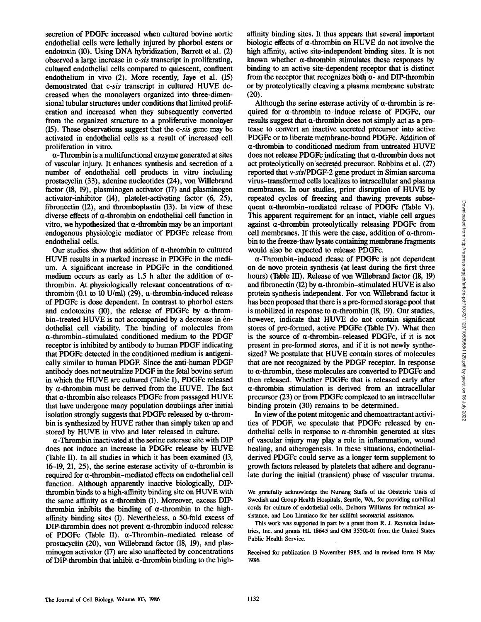secretion of PDGFc increased when cultured bovine aortic endothelial cells were lethally injured by phorbol esters or endotoxin (10). Using DNA hybridization, Barrett et al. (2) observed a large increase in *c-sis* transcript in proliferating, cultured endothelial cells compared to quiescent, confluent endothelium in vivo (2). More recently, Jaye et al. (15) demonstrated that *c-sis* transcript in cultured HUVE decreased when the monolayers organized into three-dimensional tubular structures under conditions that limited proliferation and increased when they subsequently converted from the organized structure to a proliferative monolayer (15). These observations suggest that the *c-sis* gene may be activated in endothelial cells as a result of increased cell proliferation in vitro.

a-Thrombin is a multifunctional enzyme generated at sites of vascular injury. It enhances synthesis and secretion of a number of endothelial cell products in vitro including prostacyclin (33), adenine nucleotides (24), von Willebrand factor (18, 19), plasminogen activator (17) and plasminogen activator-inhibitor (14), platelet-activating factor (6, 25), fibronectin (12), and thromboplastin (13). In view of these diverse effects of  $\alpha$ -thrombin on endothelial cell function in vitro, we hypothesized that  $\alpha$ -thrombin may be an important endogenous physiologic mediator of PDGFc release from endothelial cells.

Our studies show that addition of  $\alpha$ -thrombin to cultured HUVE results in a marked increase in PDGFc in the medium. A significant increase in PDGFc in the conditioned medium occurs as early as 1.5 h after the addition of  $\alpha$ thrombin. At physiologically relevant concentrations of  $\alpha$ thrombin (0.1 to 10 U/ml) (29),  $\alpha$ -thrombin-induced release of PDGFc is dose dependent. In contrast to phorbol esters and endotoxins (10), the release of PDGFc by  $\alpha$ -thrombin-treated HUVE is not accompanied by a decrease in endothelial cell viability. The binding of molecules from  $\alpha$ -thrombin-stimulated conditioned medium to the PDGF receptor is inhibited by antibody to human PDGF indicating that PDGFc detected in the conditioned medium is antigenically similar to human PDGF. Since the anti-human PDGF antibody does not neutralize PDGF in the fetal bovine serum in which the HUVE are cultured (Table I), PDGFc released by  $\alpha$ -thrombin must be derived from the HUVE. The fact that  $\alpha$ -thrombin also releases PDGFc from passaged HUVE that have undergone many population doublings after initial isolation strongly suggests that PDGFc released by  $\alpha$ -thrombin is synthesized by HUVE rather than simply taken up and stored by HUVE in vivo and later released in culture.

 $\alpha$ -Thrombin inactivated at the serine esterase site with DIP does not induce an increase in PDGFc release by HUVE (Table II). In all studies in which it has been examined (13, 16-19, 21, 25), the serine esterase activity of  $\alpha$ -thrombin is required for  $\alpha$ -thrombin-mediated effects on endothelial cell function. Although apparently inactive biologically, DIPthrombin binds to a high-affinity binding site on HUVE with the same affinity as  $\alpha$ -thrombin (1). Moreover, excess DIPthrombin inhibits the binding of  $\alpha$ -thrombin to the highaffinity binding sites (1). Nevertheless, a 50-fold excess of  $DIP$ -thrombin does not prevent  $\alpha$ -thrombin induced release of PDGFc (Table II).  $\alpha$ -Thrombin-mediated release of prostacyclin (20), yon Willebrand factor (18, 19), and plasminogen activator (17) are also unaffected by concentrations of DIP-thrombin that inhibit  $\alpha$ -thrombin binding to the high-

affinity binding sites. It thus appears that several important biologic effects of  $\alpha$ -thrombin on HUVE do not involve the high affinity, active site-independent binding sites. It is not known whether  $\alpha$ -thrombin stimulates these responses by binding to an active site-dependent receptor that is distinct from the receptor that recognizes both  $\alpha$ - and DIP-thrombin or by proteolytically cleaving a plasma membrane substrate (20).

Although the serine esterase activity of  $\alpha$ -thrombin is required for  $\alpha$ -thrombin to induce release of PDGFc, our results suggest that  $\alpha$ -thrombin does not simply act as a protease to convert an inactive secreted precursor into active PDGFc or to liberate membrane-bound PDGFc, Addition of  $\alpha$ -thrombin to conditioned medium from untreated HUVE does not release PDGFc indicating that a-thrombin does not act proteolytically on secreted precursor. Robbins et al. (27) reported that *v-sis/PDGF-2* gene product in Simian sarcoma virus-transformed cells localizes to intracellular and plasma membranes. In our studies, prior disruption of HUVE by repeated cycles of freezing and thawing prevents subsequent  $\alpha$ -thrombin-mediated release of PDGFc (Table V). This apparent requirement for an intact, viable cell argues against a-thrombin proteolytically releasing PDGFc from cell membranes. If this were the case, addition of  $\alpha$ -thrombin to the freeze-thaw lysate containing membrane fragments would also be expected to release PDGFc.

 $\alpha$ -Thrombin-induced rlease of PDGFc is not dependent on de novo protein synthesis (at least during the first three hours) (Table HI). Release of von Willebrand factor (18, 19) and fibronectin (12) by  $\alpha$ -thrombin-stimulated HUVE is also protein synthesis independent. For yon Willebrand factor it has been proposed that there is a pre-formed storage pool that is mobilized in response to  $\alpha$ -thrombin (18, 19). Our studies, however, indicate that HUVE do not contain significant stores of pre-formed, active PDGFc (Table IV). What then is the source of  $\alpha$ -thrombin-released PDGFc, if it is not present in pre-formed stores, and if it is not newly synthesized? We postulate that HUVE contain stores of molecules that are not recognized by the PDGF receptor. In response to  $\alpha$ -thrombin, these molecules are converted to PDGFc and then released. Whether PDGFc that is released early after  $\alpha$ -thrombin stimulation is derived from an intracellular precursor (23) or from PDGFc complexed to an intracellular binding protein (30) remains to be determined.

In view of the potent mitogenic and chemoattractant activities of PDGF, we speculate that PDGFc released by endothelial cells in response to  $\alpha$ -thrombin generated at sites of vascular injury may play a role in inflammation, wound healing, and atherogenesis. In these situations, endothelialderived PDGFc could serve as a longer term supplement to growth factors released by platelets that adhere and degranulate during the initial (transient) phase of vascular trauma.

We gratefully acknowledge the Nursing Staffs of the Obstetric Units of Swedish and Group Health Hospitals, Seattle, WA, for providing umbilical cords for culture of endothelial cells, Delnora Williams for technical assistance, and Lou Limtiaco for her skillful secretarial assistance.

This work was supported in part by a grant from R. J. Reynolds Industries, Inc. and grants HL 18645 and GM 35501-01 from the United States Public Health Service.

Received for publication 13 November 1985, and in revised form 19 May 1986.